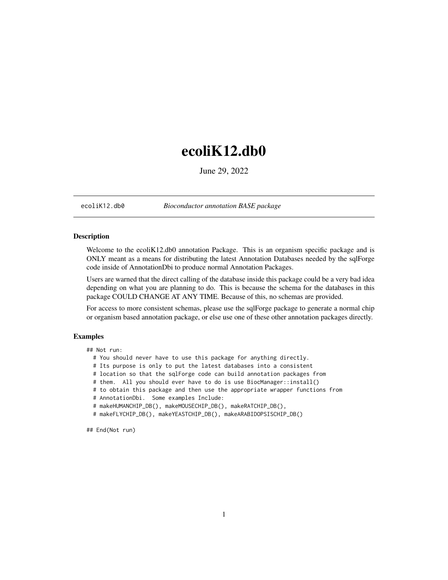## <span id="page-0-0"></span>ecoliK12.db0

June 29, 2022

ecoliK12.db0 *Bioconductor annotation BASE package*

## Description

Welcome to the ecoliK12.db0 annotation Package. This is an organism specific package and is ONLY meant as a means for distributing the latest Annotation Databases needed by the sqlForge code inside of AnnotationDbi to produce normal Annotation Packages.

Users are warned that the direct calling of the database inside this package could be a very bad idea depending on what you are planning to do. This is because the schema for the databases in this package COULD CHANGE AT ANY TIME. Because of this, no schemas are provided.

For access to more consistent schemas, please use the sqlForge package to generate a normal chip or organism based annotation package, or else use one of these other annotation packages directly.

## Examples

## Not run:

- # You should never have to use this package for anything directly.
- # Its purpose is only to put the latest databases into a consistent
- # location so that the sqlForge code can build annotation packages from
- # them. All you should ever have to do is use BiocManager::install()
- # to obtain this package and then use the appropriate wrapper functions from
- # AnnotationDbi. Some examples Include:
- # makeHUMANCHIP\_DB(), makeMOUSECHIP\_DB(), makeRATCHIP\_DB(),
- # makeFLYCHIP\_DB(), makeYEASTCHIP\_DB(), makeARABIDOPSISCHIP\_DB()

## End(Not run)